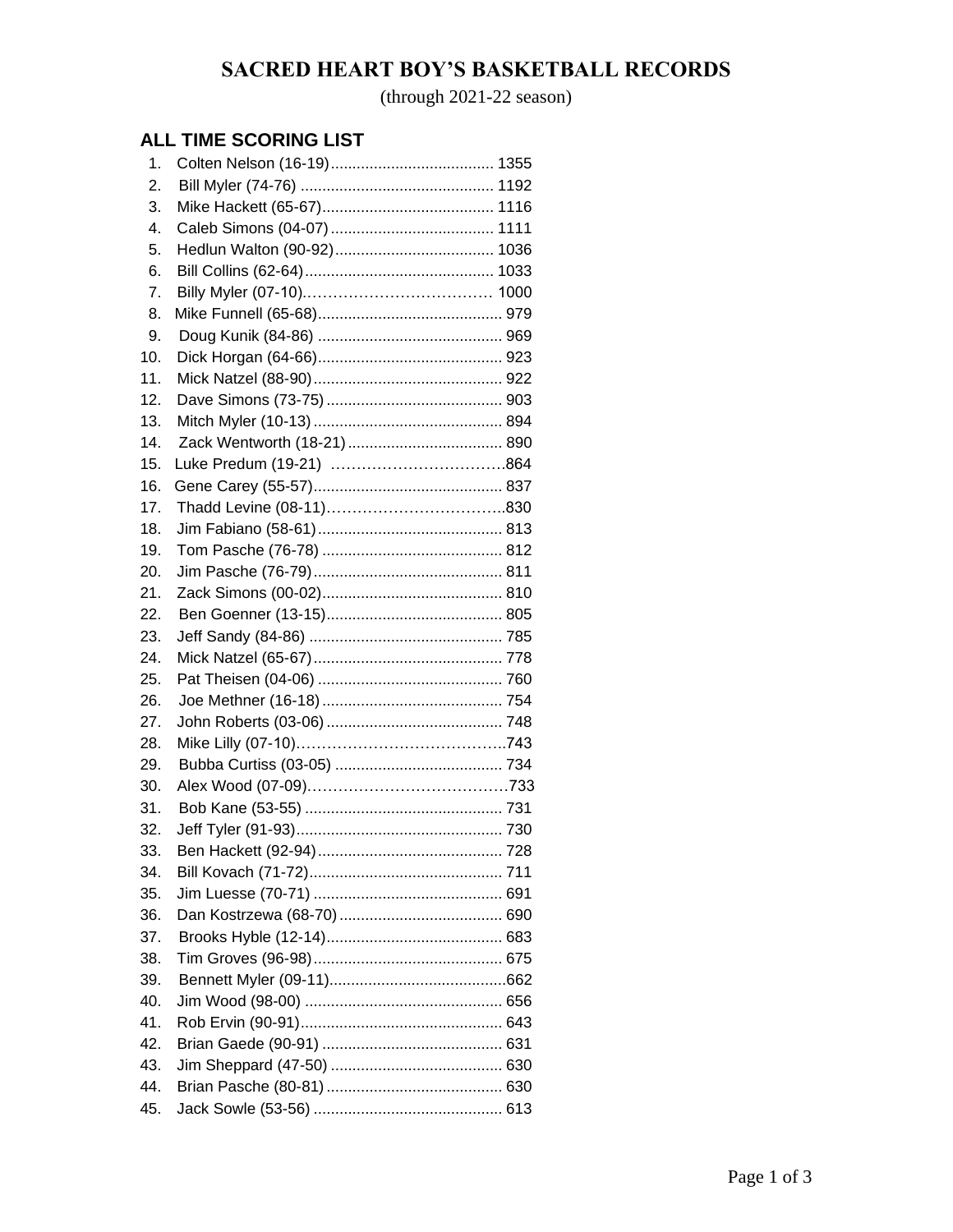## **SACRED HEART BOY'S BASKETBALL RECORDS**

(through 2021-22 season)

### **ALL TIME SCORING LIST**

| 1.  |  |
|-----|--|
| 2.  |  |
| 3.  |  |
| 4.  |  |
| 5.  |  |
| 6.  |  |
| 7.  |  |
| 8.  |  |
| 9.  |  |
| 10. |  |
| 11. |  |
| 12. |  |
| 13. |  |
| 14. |  |
| 15. |  |
| 16. |  |
| 17. |  |
| 18. |  |
| 19. |  |
| 20. |  |
| 21. |  |
| 22. |  |
| 23. |  |
| 24. |  |
| 25. |  |
| 26. |  |
| 27. |  |
| 28. |  |
| 29. |  |
| 30. |  |
| 31. |  |
| 32. |  |
| 33. |  |
| 34. |  |
| 35. |  |
| 36. |  |
| 37. |  |
| 38. |  |
| 39. |  |
| 40. |  |
| 41. |  |
| 42. |  |
| 43. |  |
| 44. |  |
| 45. |  |
|     |  |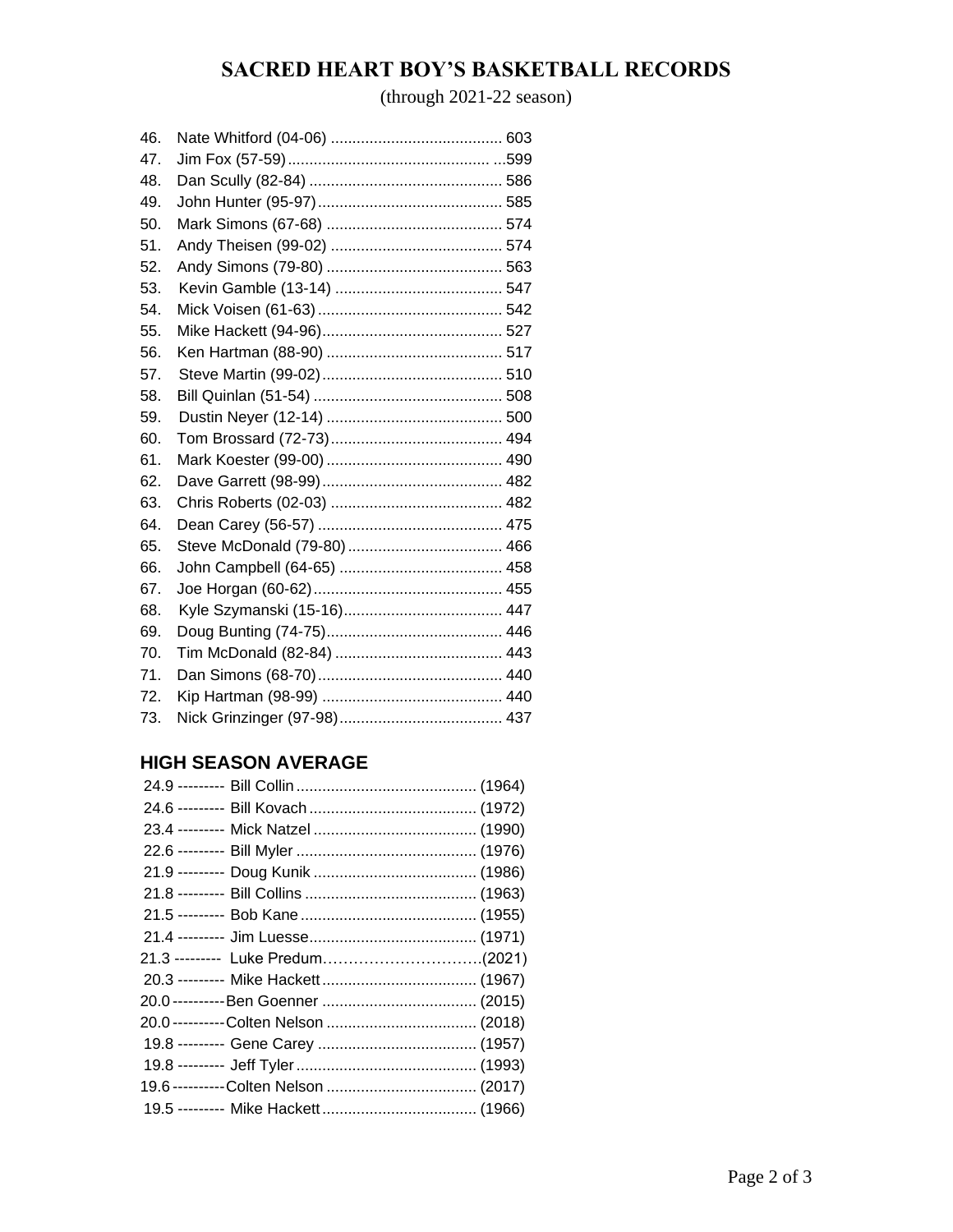## **SACRED HEART BOY'S BASKETBALL RECORDS**

(through 2021-22 season)

| 46. |  |
|-----|--|
| 47. |  |
| 48. |  |
| 49. |  |
| 50. |  |
| 51. |  |
| 52. |  |
| 53. |  |
| 54. |  |
| 55. |  |
| 56. |  |
| 57. |  |
| 58. |  |
| 59. |  |
| 60. |  |
| 61. |  |
| 62. |  |
| 63. |  |
| 64. |  |
| 65. |  |
| 66. |  |
| 67. |  |
| 68. |  |
| 69. |  |
| 70. |  |
| 71. |  |
| 72. |  |
| 73. |  |

#### **HIGH SEASON AVERAGE**